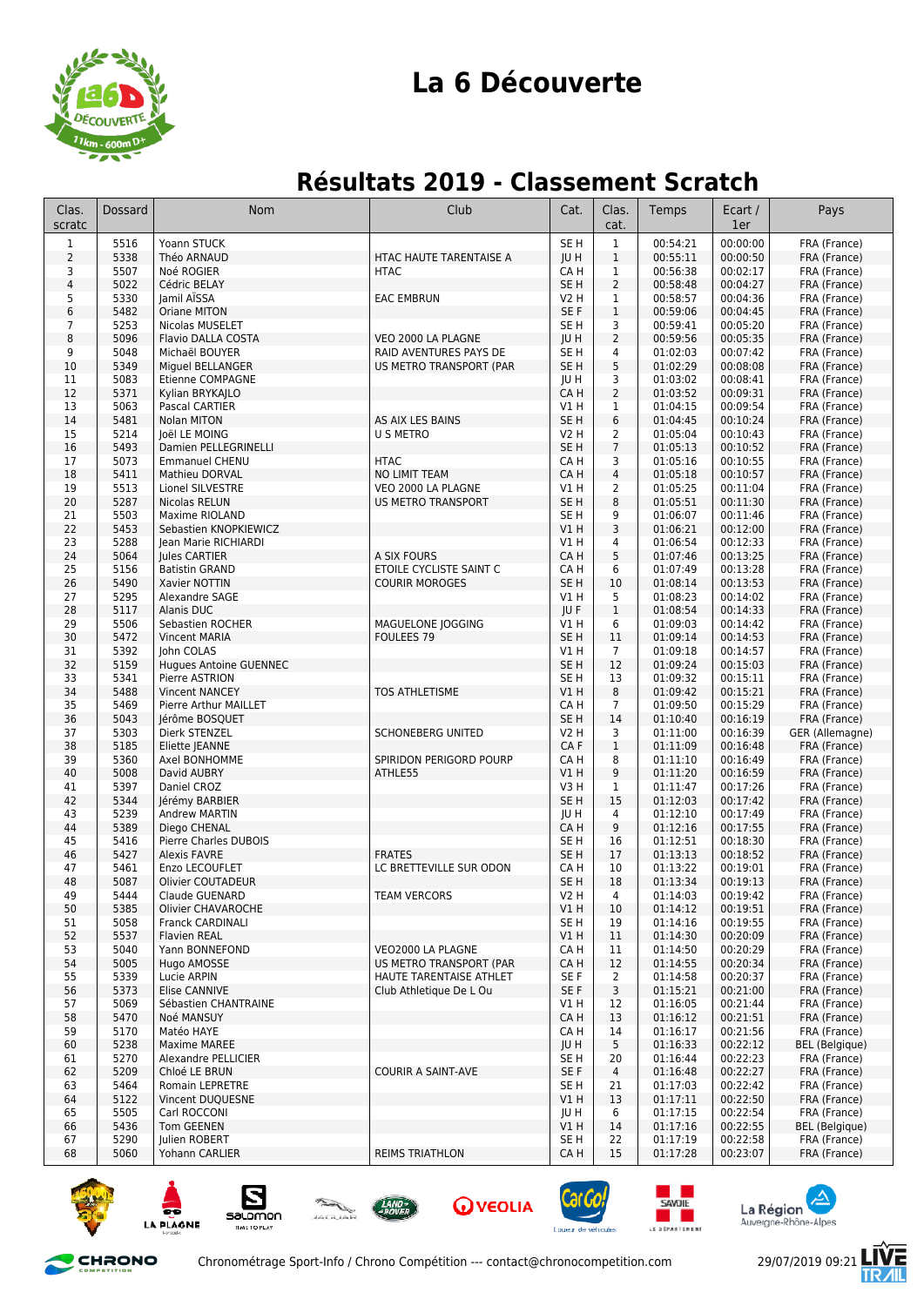

# **La 6 Découverte**

# **Résultats 2019 - Classement Scratch**

| Clas.<br>scratc         | Dossard      | <b>Nom</b>                            | Club                                               | Cat.                          | Clas.<br>cat.                    | Temps                | Ecart /<br>1er       | Pays                            |
|-------------------------|--------------|---------------------------------------|----------------------------------------------------|-------------------------------|----------------------------------|----------------------|----------------------|---------------------------------|
| $\mathbf{1}$            | 5516         | Yoann STUCK                           |                                                    | SE <sub>H</sub>               | $\mathbf{1}$                     | 00:54:21             | 00:00:00             | FRA (France)                    |
| $\overline{2}$          | 5338         | Théo ARNAUD                           | HTAC HAUTE TARENTAISE A                            | JU H                          | $\mathbf{1}$                     | 00:55:11             | 00:00:50             | FRA (France)                    |
| 3                       | 5507         | Noé ROGIER                            | <b>HTAC</b>                                        | CA H                          | $\mathbf{1}$                     | 00:56:38             | 00:02:17             | FRA (France)                    |
| $\overline{\mathbf{4}}$ | 5022         | Cédric BELAY                          |                                                    | SE <sub>H</sub>               | $\overline{2}$                   | 00:58:48             | 00:04:27             | FRA (France)                    |
| 5                       | 5330         | lamil AISSA                           | <b>EAC EMBRUN</b>                                  | V2 H                          | $\mathbf{1}$                     | 00:58:57             | 00:04:36             | FRA (France)                    |
| 6                       | 5482         | Oriane MITON                          |                                                    | SE F                          | $\mathbf{1}$                     | 00:59:06             | 00:04:45             | FRA (France)                    |
| 7                       | 5253         | Nicolas MUSELET                       |                                                    | SE <sub>H</sub>               | 3                                | 00:59:41             | 00:05:20             | FRA (France)                    |
| 8<br>9                  | 5096<br>5048 | Flavio DALLA COSTA<br>Michaël BOUYER  | VEO 2000 LA PLAGNE<br>RAID AVENTURES PAYS DE       | <b>IUH</b><br>SE <sub>H</sub> | $\overline{2}$<br>4              | 00:59:56<br>01:02:03 | 00:05:35<br>00:07:42 | FRA (France)<br>FRA (France)    |
| 10                      | 5349         | Miguel BELLANGER                      | US METRO TRANSPORT (PAR                            | SE <sub>H</sub>               | 5                                | 01:02:29             | 00:08:08             | FRA (France)                    |
| 11                      | 5083         | Etienne COMPAGNE                      |                                                    | JU H                          | 3                                | 01:03:02             | 00:08:41             | FRA (France)                    |
| 12                      | 5371         | Kylian BRYKAJLO                       |                                                    | CA H                          | $\overline{2}$                   | 01:03:52             | 00:09:31             | FRA (France)                    |
| 13                      | 5063         | Pascal CARTIER                        |                                                    | V1 H                          | 1                                | 01:04:15             | 00:09:54             | FRA (France)                    |
| 14                      | 5481         | Nolan MITON                           | AS AIX LES BAINS                                   | SE <sub>H</sub>               | 6                                | 01:04:45             | 00:10:24             | FRA (France)                    |
| 15                      | 5214         | Joël LE MOING                         | U S METRO                                          | V2 H                          | 2                                | 01:05:04             | 00:10:43             | FRA (France)                    |
| 16                      | 5493         | Damien PELLEGRINELLI                  |                                                    | SE <sub>H</sub>               | $\overline{7}$                   | 01:05:13             | 00:10:52             | FRA (France)                    |
| 17                      | 5073         | <b>Emmanuel CHENU</b>                 | <b>HTAC</b>                                        | CA H                          | 3                                | 01:05:16             | 00:10:55             | FRA (France)                    |
| 18<br>19                | 5411<br>5513 | Mathieu DORVAL<br>Lionel SILVESTRE    | <b>NO LIMIT TEAM</b><br>VEO 2000 LA PLAGNE         | CA H<br>V1 H                  | $\overline{4}$<br>$\overline{2}$ | 01:05:18<br>01:05:25 | 00:10:57<br>00:11:04 | FRA (France)<br>FRA (France)    |
| 20                      | 5287         | Nicolas RELUN                         | <b>US METRO TRANSPORT</b>                          | SE <sub>H</sub>               | 8                                | 01:05:51             | 00:11:30             | FRA (France)                    |
| 21                      | 5503         | Maxime RIOLAND                        |                                                    | SE H                          | 9                                | 01:06:07             | 00:11:46             | FRA (France)                    |
| 22                      | 5453         | Sebastien KNOPKIEWICZ                 |                                                    | V1 H                          | 3                                | 01:06:21             | 00:12:00             | FRA (France)                    |
| 23                      | 5288         | Jean Marie RICHIARDI                  |                                                    | V1 H                          | 4                                | 01:06:54             | 00:12:33             | FRA (France)                    |
| 24                      | 5064         | Jules CARTIER                         | A SIX FOURS                                        | CA H                          | 5                                | 01:07:46             | 00:13:25             | FRA (France)                    |
| 25                      | 5156         | <b>Batistin GRAND</b>                 | ETOILE CYCLISTE SAINT C                            | CA H                          | 6                                | 01:07:49             | 00:13:28             | FRA (France)                    |
| 26                      | 5490         | Xavier NOTTIN                         | <b>COURIR MOROGES</b>                              | SE <sub>H</sub>               | 10                               | 01:08:14             | 00:13:53             | FRA (France)                    |
| 27                      | 5295         | Alexandre SAGE                        |                                                    | V1 H                          | 5                                | 01:08:23             | 00:14:02             | FRA (France)                    |
| 28<br>29                | 5117<br>5506 | Alanis DUC<br>Sebastien ROCHER        | MAGUELONE JOGGING                                  | <b>IUF</b><br>V1 H            | $\mathbf{1}$<br>6                | 01:08:54<br>01:09:03 | 00:14:33<br>00:14:42 | FRA (France)<br>FRA (France)    |
| 30                      | 5472         | <b>Vincent MARIA</b>                  | <b>FOULEES 79</b>                                  | SE <sub>H</sub>               | 11                               | 01:09:14             | 00:14:53             | FRA (France)                    |
| 31                      | 5392         | John COLAS                            |                                                    | V1 H                          | $\overline{7}$                   | 01:09:18             | 00:14:57             | FRA (France)                    |
| 32                      | 5159         | <b>Hugues Antoine GUENNEC</b>         |                                                    | SE <sub>H</sub>               | 12                               | 01:09:24             | 00:15:03             | FRA (France)                    |
| 33                      | 5341         | Pierre ASTRION                        |                                                    | SE H                          | 13                               | 01:09:32             | 00:15:11             | FRA (France)                    |
| 34                      | 5488         | <b>Vincent NANCEY</b>                 | <b>TOS ATHLETISME</b>                              | V1 H                          | 8                                | 01:09:42             | 00:15:21             | FRA (France)                    |
| 35                      | 5469         | Pierre Arthur MAILLET                 |                                                    | CA H                          | 7                                | 01:09:50             | 00:15:29             | FRA (France)                    |
| 36<br>37                | 5043<br>5303 | Jérôme BOSQUET<br>Dierk STENZEL       | <b>SCHONEBERG UNITED</b>                           | SE <sub>H</sub><br>V2 H       | 14<br>3                          | 01:10:40<br>01:11:00 | 00:16:19<br>00:16:39 | FRA (France)<br>GER (Allemagne) |
| 38                      | 5185         | Eliette JEANNE                        |                                                    | CA F                          | $\mathbf{1}$                     | 01:11:09             | 00:16:48             | FRA (France)                    |
| 39                      | 5360         | Axel BONHOMME                         | SPIRIDON PERIGORD POURP                            | CA H                          | 8                                | 01:11:10             | 00:16:49             | FRA (France)                    |
| 40                      | 5008         | David AUBRY                           | ATHLE55                                            | V1 H                          | 9                                | 01:11:20             | 00:16:59             | FRA (France)                    |
| 41                      | 5397         | Daniel CROZ                           |                                                    | V3 H                          | 1                                | 01:11:47             | 00:17:26             | FRA (France)                    |
| 42                      | 5344         | Jérémy BARBIER                        |                                                    | SE <sub>H</sub>               | 15                               | 01:12:03             | 00:17:42             | FRA (France)                    |
| 43                      | 5239         | <b>Andrew MARTIN</b>                  |                                                    | JU H                          | 4                                | 01:12:10             | 00:17:49             | FRA (France)                    |
| 44                      | 5389<br>5416 | Diego CHENAL<br>Pierre Charles DUBOIS |                                                    | CA H                          | 9                                | 01:12:16             | 00:17:55<br>00:18:30 | FRA (France)                    |
| 45<br>46                | 5427         | <b>Alexis FAVRE</b>                   | <b>FRATES</b>                                      | SE H<br>SE H                  | 16<br>17                         | 01:12:51<br>01:13:13 | 00:18:52             | FRA (France)<br>FRA (France)    |
| 47                      | 5461         | Enzo LECOUFLET                        | LC BRETTEVILLE SUR ODON                            | CA H                          | 10                               | 01:13:22             | 00:19:01             | FRA (France)                    |
| 48                      | 5087         | Olivier COUTADEUR                     |                                                    | SE <sub>H</sub>               | 18                               | 01:13:34             | 00:19:13             | FRA (France)                    |
| 49                      | 5444         | Claude GUENARD                        | <b>TEAM VERCORS</b>                                | V2 H                          | 4                                | 01:14:03             | 00:19:42             | FRA (France)                    |
| 50                      | 5385         | Olivier CHAVAROCHE                    |                                                    | VIH                           | 10                               | 01:14:12             | 00:19:51             | FRA (France)                    |
| 51                      | 5058         | <b>Franck CARDINALI</b>               |                                                    | SE H                          | 19                               | 01:14:16             | 00:19:55             | FRA (France)                    |
| 52                      | 5537         | <b>Flavien REAL</b>                   |                                                    | V1 H                          | 11                               | 01:14:30             | 00:20:09             | FRA (France)                    |
| 53                      | 5040         | Yann BONNEFOND                        | VEO2000 LA PLAGNE                                  | CA H                          | 11                               | 01:14:50             | 00:20:29             | FRA (France)                    |
| 54<br>55                | 5005<br>5339 | Hugo AMOSSE<br>Lucie ARPIN            | US METRO TRANSPORT (PAR<br>HAUTE TARENTAISE ATHLET | CA H<br>SE F                  | 12<br>$\overline{2}$             | 01:14:55<br>01:14:58 | 00:20:34<br>00:20:37 | FRA (France)<br>FRA (France)    |
| 56                      | 5373         | Elise CANNIVE                         | Club Athletique De L Ou                            | SE F                          | 3                                | 01:15:21             | 00:21:00             | FRA (France)                    |
| 57                      | 5069         | Sébastien CHANTRAINE                  |                                                    | V1 H                          | 12                               | 01:16:05             | 00:21:44             | FRA (France)                    |
| 58                      | 5470         | Noé MANSUY                            |                                                    | CA H                          | 13                               | 01:16:12             | 00:21:51             | FRA (France)                    |
| 59                      | 5170         | Matéo HAYE                            |                                                    | CA H                          | 14                               | 01:16:17             | 00:21:56             | FRA (France)                    |
| 60                      | 5238         | Maxime MAREE                          |                                                    | JU H                          | 5                                | 01:16:33             | 00:22:12             | <b>BEL</b> (Belgique)           |
| 61                      | 5270         | Alexandre PELLICIER                   |                                                    | SE H                          | 20                               | 01:16:44             | 00:22:23             | FRA (France)                    |
| 62                      | 5209         | Chloé LE BRUN                         | <b>COURIR A SAINT-AVE</b>                          | SE F                          | 4                                | 01:16:48             | 00:22:27             | FRA (France)                    |
| 63<br>64                | 5464<br>5122 | <b>Romain LEPRETRE</b>                |                                                    | SE <sub>H</sub><br>V1 H       | 21<br>13                         | 01:17:03<br>01:17:11 | 00:22:42<br>00:22:50 | FRA (France)<br>FRA (France)    |
| 65                      | 5505         | Vincent DUQUESNE<br>Carl ROCCONI      |                                                    | JU H                          | 6                                | 01:17:15             | 00:22:54             | FRA (France)                    |
| 66                      | 5436         | Tom GEENEN                            |                                                    | V1 H                          | 14                               | 01:17:16             | 00:22:55             | <b>BEL</b> (Belgique)           |
| 67                      | 5290         | Julien ROBERT                         |                                                    | SE H                          | 22                               | 01:17:19             | 00:22:58             | FRA (France)                    |
| 68                      | 5060         | Yohann CARLIER                        | <b>REIMS TRIATHLON</b>                             | CA H                          | 15                               | 01:17:28             | 00:23:07             | FRA (France)                    |
|                         |              |                                       |                                                    |                               |                                  |                      |                      |                                 |

















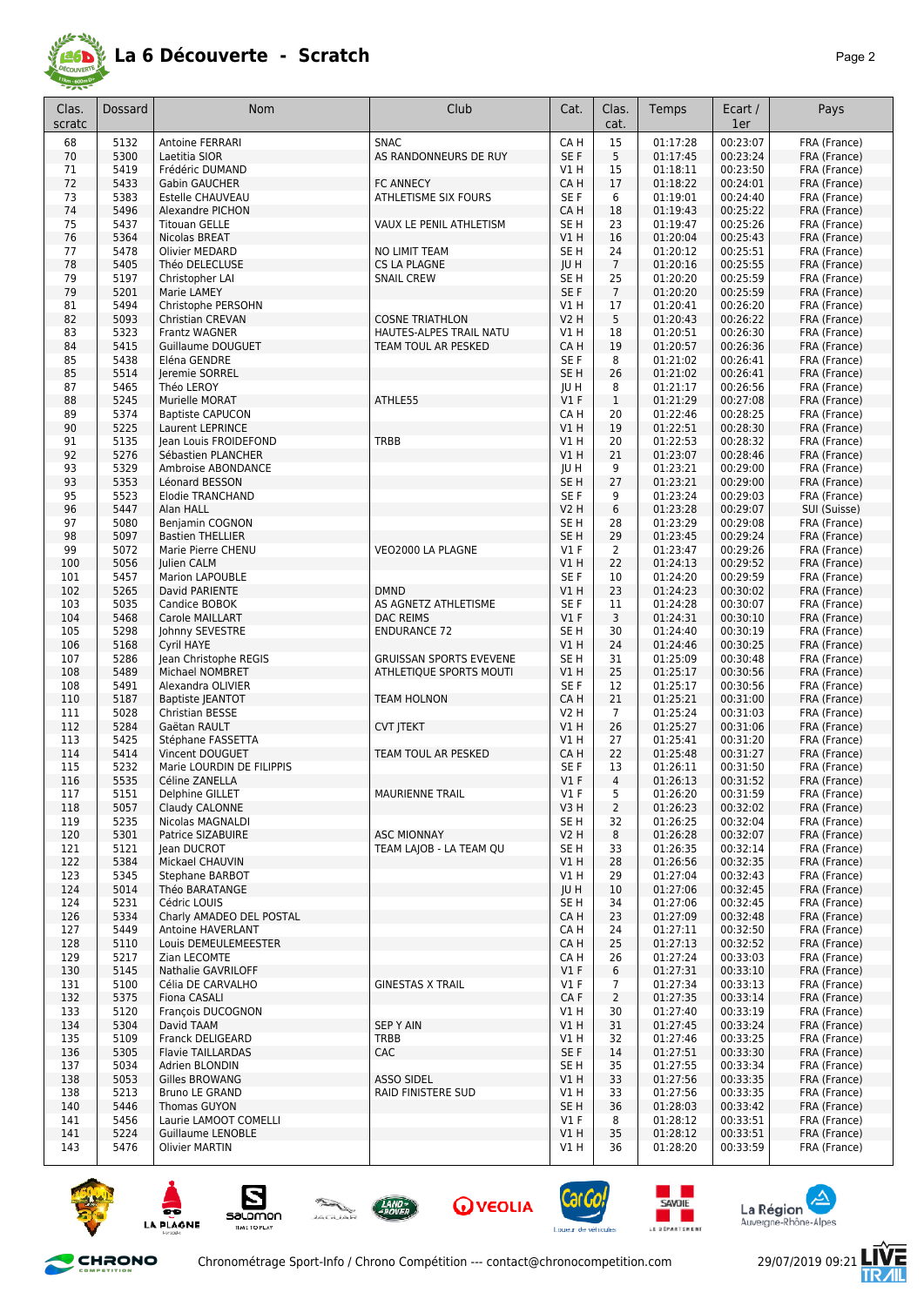

| Clas.<br>scratc | Dossard      | Nom                                               | Club                                    | Cat.                | Clas.<br>cat.        | Temps                | Ecart /<br>1er       | Pays                         |
|-----------------|--------------|---------------------------------------------------|-----------------------------------------|---------------------|----------------------|----------------------|----------------------|------------------------------|
| 68              | 5132         | <b>Antoine FERRARI</b>                            | <b>SNAC</b>                             | CA H                | 15                   | 01:17:28             | 00:23:07             | FRA (France)                 |
| 70              | 5300         | Laetitia SIOR                                     | AS RANDONNEURS DE RUY                   | SE F                | 5                    | 01:17:45             | 00:23:24             | FRA (France)                 |
| 71              | 5419         | Frédéric DUMAND                                   |                                         | V1H                 | 15                   | 01:18:11             | 00:23:50             | FRA (France)                 |
| 72              | 5433         | <b>Gabin GAUCHER</b>                              | <b>FC ANNECY</b>                        | CA H                | 17                   | 01:18:22             | 00:24:01             | FRA (France)                 |
| 73<br>74        | 5383<br>5496 | Estelle CHAUVEAU<br>Alexandre PICHON              | <b>ATHLETISME SIX FOURS</b>             | SE F<br>CA H        | 6<br>18              | 01:19:01<br>01:19:43 | 00:24:40<br>00:25:22 | FRA (France)<br>FRA (France) |
| 75              | 5437         | <b>Titouan GELLE</b>                              | VAUX LE PENIL ATHLETISM                 | SE <sub>H</sub>     | 23                   | 01:19:47             | 00:25:26             | FRA (France)                 |
| 76              | 5364         | Nicolas BREAT                                     |                                         | VIH                 | 16                   | 01:20:04             | 00:25:43             | FRA (France)                 |
| 77              | 5478         | Olivier MEDARD                                    | NO LIMIT TEAM                           | SE H                | 24                   | 01:20:12             | 00:25:51             | FRA (France)                 |
| 78              | 5405         | Théo DELECLUSE                                    | <b>CS LA PLAGNE</b>                     | JU H                | $\overline{7}$       | 01:20:16             | 00:25:55             | FRA (France)                 |
| 79              | 5197         | Christopher LAI                                   | <b>SNAIL CREW</b>                       | SE H                | 25                   | 01:20:20             | 00:25:59             | FRA (France)                 |
| 79              | 5201         | Marie LAMEY                                       |                                         | SE F                | $\overline{7}$       | 01:20:20             | 00:25:59             | FRA (France)                 |
| 81<br>82        | 5494<br>5093 | Christophe PERSOHN<br><b>Christian CREVAN</b>     | <b>COSNE TRIATHLON</b>                  | V1H<br>V2 H         | 17<br>5              | 01:20:41<br>01:20:43 | 00:26:20<br>00:26:22 | FRA (France)<br>FRA (France) |
| 83              | 5323         | <b>Frantz WAGNER</b>                              | HAUTES-ALPES TRAIL NATU                 | V1 H                | 18                   | 01:20:51             | 00:26:30             | FRA (France)                 |
| 84              | 5415         | Guillaume DOUGUET                                 | TEAM TOUL AR PESKED                     | CA H                | 19                   | 01:20:57             | 00:26:36             | FRA (France)                 |
| 85              | 5438         | Eléna GENDRE                                      |                                         | SE F                | 8                    | 01:21:02             | 00:26:41             | FRA (France)                 |
| 85              | 5514         | Jeremie SORREL                                    |                                         | SE H                | 26                   | 01:21:02             | 00:26:41             | FRA (France)                 |
| 87              | 5465         | Théo LEROY                                        |                                         | JU H                | 8                    | 01:21:17             | 00:26:56             | FRA (France)                 |
| 88<br>89        | 5245<br>5374 | Murielle MORAT<br><b>Baptiste CAPUCON</b>         | ATHLE55                                 | $VI$ F<br>CA H      | $\mathbf{1}$<br>20   | 01:21:29<br>01:22:46 | 00:27:08<br>00:28:25 | FRA (France)<br>FRA (France) |
| 90              | 5225         | Laurent LEPRINCE                                  |                                         | V1 H                | 19                   | 01:22:51             | 00:28:30             | FRA (France)                 |
| 91              | 5135         | Jean Louis FROIDEFOND                             | TRBB                                    | V1 H                | 20                   | 01:22:53             | 00:28:32             | FRA (France)                 |
| 92              | 5276         | Sébastien PLANCHER                                |                                         | VIH                 | 21                   | 01:23:07             | 00:28:46             | FRA (France)                 |
| 93              | 5329         | Ambroise ABONDANCE                                |                                         | JU H                | 9                    | 01:23:21             | 00:29:00             | FRA (France)                 |
| 93              | 5353         | Léonard BESSON                                    |                                         | SE H                | 27                   | 01:23:21             | 00:29:00             | FRA (France)                 |
| 95              | 5523         | <b>Elodie TRANCHAND</b>                           |                                         | SE F                | 9                    | 01:23:24             | 00:29:03             | FRA (France)                 |
| 96<br>97        | 5447<br>5080 | Alan HALL<br>Benjamin COGNON                      |                                         | V2 H<br>SE H        | 6<br>28              | 01:23:28<br>01:23:29 | 00:29:07<br>00:29:08 | SUI (Suisse)<br>FRA (France) |
| 98              | 5097         | <b>Bastien THELLIER</b>                           |                                         | SE <sub>H</sub>     | 29                   | 01:23:45             | 00:29:24             | FRA (France)                 |
| 99              | 5072         | Marie Pierre CHENU                                | VEO2000 LA PLAGNE                       | $VI$ F              | 2                    | 01:23:47             | 00:29:26             | FRA (France)                 |
| 100             | 5056         | Julien CALM                                       |                                         | V1H                 | 22                   | 01:24:13             | 00:29:52             | FRA (France)                 |
| 101             | 5457         | <b>Marion LAPOUBLE</b>                            |                                         | SE F                | 10                   | 01:24:20             | 00:29:59             | FRA (France)                 |
| 102             | 5265         | David PARIENTE                                    | <b>DMND</b>                             | V1 H                | 23                   | 01:24:23             | 00:30:02             | FRA (France)                 |
| 103             | 5035<br>5468 | Candice BOBOK                                     | AS AGNETZ ATHLETISME                    | SE F<br>$VI$ F      | 11<br>3              | 01:24:28             | 00:30:07<br>00:30:10 | FRA (France)                 |
| 104<br>105      | 5298         | Carole MAILLART<br>Johnny SEVESTRE                | <b>DAC REIMS</b><br><b>ENDURANCE 72</b> | SE H                | 30                   | 01:24:31<br>01:24:40 | 00:30:19             | FRA (France)<br>FRA (France) |
| 106             | 5168         | <b>Cyril HAYE</b>                                 |                                         | V1 H                | 24                   | 01:24:46             | 00:30:25             | FRA (France)                 |
| 107             | 5286         | Jean Christophe REGIS                             | <b>GRUISSAN SPORTS EVEVENE</b>          | SE H                | 31                   | 01:25:09             | 00:30:48             | FRA (France)                 |
| 108             | 5489         | Michael NOMBRET                                   | ATHLETIQUE SPORTS MOUTI                 | V1 H                | 25                   | 01:25:17             | 00:30:56             | FRA (France)                 |
| 108             | 5491         | Alexandra OLIVIER                                 |                                         | SE F                | 12                   | 01:25:17             | 00:30:56             | FRA (France)                 |
| 110             | 5187         | <b>Baptiste JEANTOT</b><br>Christian BESSE        | <b>TEAM HOLNON</b>                      | CA H                | 21                   | 01:25:21             | 00:31:00             | FRA (France)                 |
| 111<br>112      | 5028<br>5284 | Gaëtan RAULT                                      | <b>CVT JTEKT</b>                        | <b>V2 H</b><br>V1 H | $\overline{7}$<br>26 | 01:25:24<br>01:25:27 | 00:31:03<br>00:31:06 | FRA (France)<br>FRA (France) |
| 113             | 5425         | Stéphane FASSETTA                                 |                                         | V1 H                | 27                   | 01:25:41             | 00:31:20             | FRA (France)                 |
| 114             | 5414         | Vincent DOUGUET                                   | TEAM TOUL AR PESKED                     | CA H                | 22                   | 01:25:48             | 00:31:27             | FRA (France)                 |
| 115             | 5232         | Marie LOURDIN DE FILIPPIS                         |                                         | SE F                | 13                   | 01:26:11             | 00:31:50             | FRA (France)                 |
| 116             | 5535         | Céline ZANELLA                                    |                                         | $VI$ F              | $\overline{4}$       | 01:26:13             | 00:31:52             | FRA (France)                 |
| 117             | 5151         | Delphine GILLET                                   | MAURIENNE TRAIL                         | $VI$ F              | 5                    | 01:26:20             | 00:31:59             | FRA (France)                 |
| 118<br>119      | 5057<br>5235 | Claudy CALONNE<br>Nicolas MAGNALDI                |                                         | V3H<br>SE H         | $\overline{2}$<br>32 | 01:26:23<br>01:26:25 | 00:32:02<br>00:32:04 | FRA (France)<br>FRA (France) |
| 120             | 5301         | Patrice SIZABUIRE                                 | <b>ASC MIONNAY</b>                      | V <sub>2</sub> H    | 8                    | 01:26:28             | 00:32:07             | FRA (France)                 |
| 121             | 5121         | Jean DUCROT                                       | TEAM LAJOB - LA TEAM QU                 | SE H                | 33                   | 01:26:35             | 00:32:14             | FRA (France)                 |
| 122             | 5384         | Mickael CHAUVIN                                   |                                         | V1H                 | 28                   | 01:26:56             | 00:32:35             | FRA (France)                 |
| 123             | 5345         | Stephane BARBOT                                   |                                         | V1 H                | 29                   | 01:27:04             | 00:32:43             | FRA (France)                 |
| 124             | 5014         | Théo BARATANGE                                    |                                         | JU H                | 10                   | 01:27:06             | 00:32:45             | FRA (France)                 |
| 124<br>126      | 5231<br>5334 | Cédric LOUIS<br>Charly AMADEO DEL POSTAL          |                                         | SE H<br>CA H        | 34<br>23             | 01:27:06<br>01:27:09 | 00:32:45<br>00:32:48 | FRA (France)<br>FRA (France) |
| 127             | 5449         | Antoine HAVERLANT                                 |                                         | CA H                | 24                   | 01:27:11             | 00:32:50             | FRA (France)                 |
| 128             | 5110         | Louis DEMEULEMEESTER                              |                                         | CA H                | 25                   | 01:27:13             | 00:32:52             | FRA (France)                 |
| 129             | 5217         | Zian LECOMTE                                      |                                         | CA H                | 26                   | 01:27:24             | 00:33:03             | FRA (France)                 |
| 130             | 5145         | Nathalie GAVRILOFF                                |                                         | $VI$ F              | 6                    | 01:27:31             | 00:33:10             | FRA (France)                 |
| 131             | 5100         | Célia DE CARVALHO                                 | <b>GINESTAS X TRAIL</b>                 | $VI$ F              | 7                    | 01:27:34             | 00:33:13             | FRA (France)                 |
| 132             | 5375         | Fiona CASALI                                      |                                         | CA F                | $\overline{2}$       | 01:27:35             | 00:33:14             | FRA (France)                 |
| 133<br>134      | 5120<br>5304 | François DUCOGNON<br>David TAAM                   | <b>SEP Y AIN</b>                        | V1 H<br>V1 H        | 30<br>31             | 01:27:40<br>01:27:45 | 00:33:19<br>00:33:24 | FRA (France)<br>FRA (France) |
| 135             | 5109         | Franck DELIGEARD                                  | TRBB                                    | V1 H                | 32                   | 01:27:46             | 00:33:25             | FRA (France)                 |
| 136             | 5305         | <b>Flavie TAILLARDAS</b>                          | <b>CAC</b>                              | SE F                | 14                   | 01:27:51             | 00:33:30             | FRA (France)                 |
| 137             | 5034         | Adrien BLONDIN                                    |                                         | SE H                | 35                   | 01:27:55             | 00:33:34             | FRA (France)                 |
| 138             | 5053         | Gilles BROWANG                                    | <b>ASSO SIDEL</b>                       | V1 H                | 33                   | 01:27:56             | 00:33:35             | FRA (France)                 |
| 138             | 5213         | Bruno LE GRAND                                    | RAID FINISTERE SUD                      | V1 H                | 33                   | 01:27:56             | 00:33:35             | FRA (France)                 |
| 140             | 5446         | Thomas GUYON                                      |                                         | SE H                | 36                   | 01:28:03             | 00:33:42             | FRA (France)                 |
| 141<br>141      | 5456<br>5224 | Laurie LAMOOT COMELLI<br><b>Guillaume LENOBLE</b> |                                         | $VI$ F<br>V1H       | 8<br>35              | 01:28:12<br>01:28:12 | 00:33:51<br>00:33:51 | FRA (France)<br>FRA (France) |
| 143             | 5476         | <b>Olivier MARTIN</b>                             |                                         | V1 H                | 36                   | 01:28:20             | 00:33:59             | FRA (France)                 |















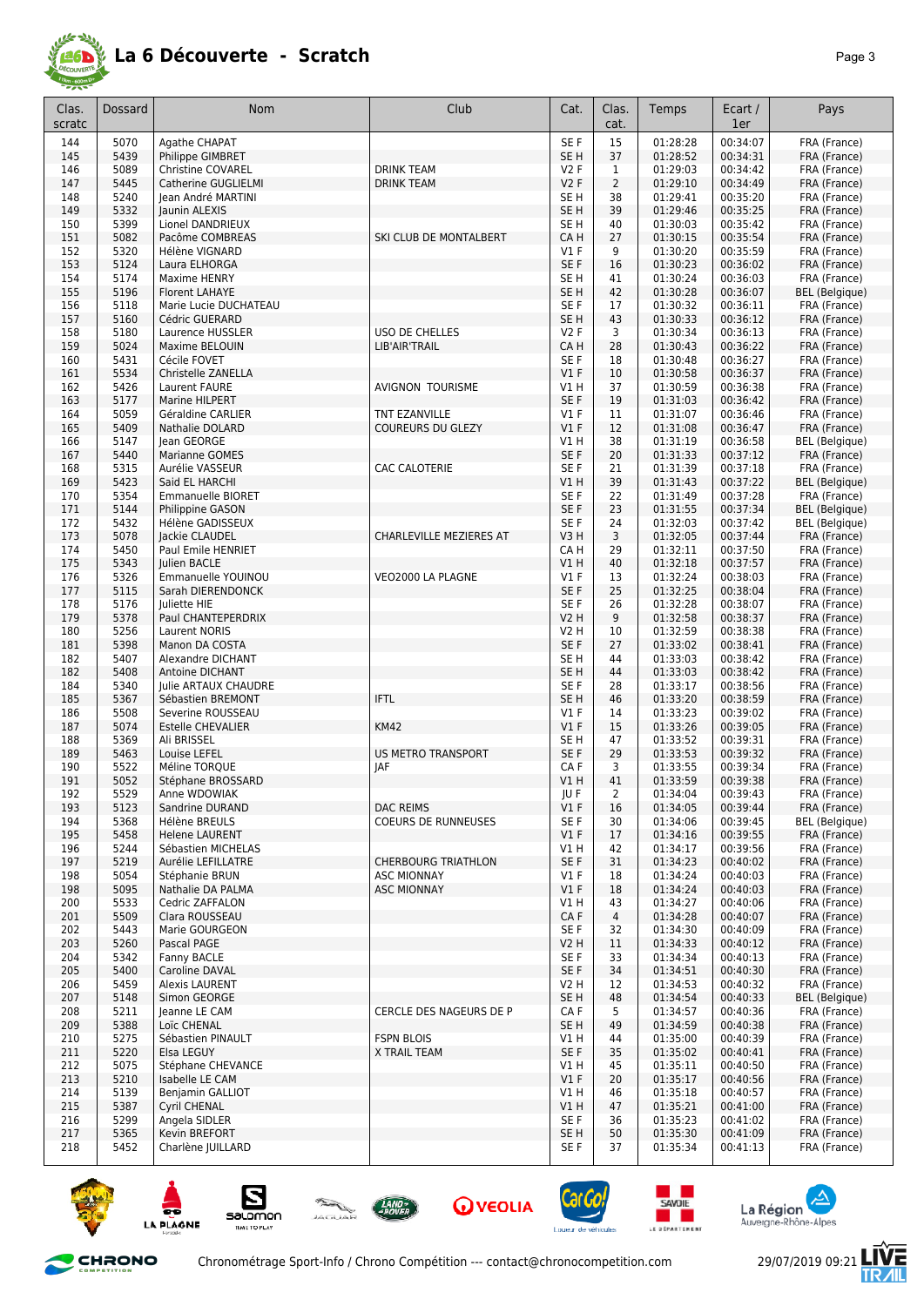

| Clas.<br>scratc | Dossard      | <b>Nom</b>                             | Club                       | Cat.                    | Clas.<br>cat.  | Temps                | Ecart /<br>1er       | Pays                                  |
|-----------------|--------------|----------------------------------------|----------------------------|-------------------------|----------------|----------------------|----------------------|---------------------------------------|
| 144             | 5070         | Agathe CHAPAT                          |                            | SE <sub>F</sub>         | 15             | 01:28:28             | 00:34:07             | FRA (France)                          |
| 145             | 5439         | Philippe GIMBRET                       |                            | SE <sub>H</sub>         | 37             | 01:28:52             | 00:34:31             | FRA (France)                          |
| 146             | 5089         | <b>Christine COVAREL</b>               | <b>DRINK TEAM</b>          | V2F                     | 1              | 01:29:03             | 00:34:42             | FRA (France)                          |
| 147             | 5445         | Catherine GUGLIELMI                    | <b>DRINK TEAM</b>          | <b>V2F</b>              | $\overline{2}$ | 01:29:10             | 00:34:49             | FRA (France)                          |
| 148             | 5240         | Jean André MARTINI                     |                            | SE H                    | 38             | 01:29:41             | 00:35:20             | FRA (France)                          |
| 149             | 5332         | Jaunin ALEXIS                          |                            | SE <sub>H</sub>         | 39             | 01:29:46             | 00:35:25             | FRA (France)                          |
| 150             | 5399         | Lionel DANDRIEUX                       |                            | SE H                    | 40             | 01:30:03             | 00:35:42             | FRA (France)                          |
| 151             | 5082         | Pacôme COMBREAS                        | SKI CLUB DE MONTALBERT     | CA H                    | 27             | 01:30:15             | 00:35:54             | FRA (France)                          |
| 152             | 5320         | Hélène VIGNARD                         |                            | $VI$ F                  | 9              | 01:30:20             | 00:35:59             | FRA (France)                          |
| 153             | 5124         | Laura ELHORGA                          |                            | SE <sub>F</sub>         | 16             | 01:30:23             | 00:36:02             | FRA (France)                          |
| 154             | 5174         | Maxime HENRY                           |                            | SE <sub>H</sub>         | 41             | 01:30:24             | 00:36:03             | FRA (France)                          |
| 155             | 5196         | <b>Florent LAHAYE</b>                  |                            | SE <sub>H</sub>         | 42             | 01:30:28             | 00:36:07             | <b>BEL</b> (Belgique)                 |
| 156             | 5118         | Marie Lucie DUCHATEAU                  |                            | SE <sub>F</sub>         | 17             | 01:30:32             | 00:36:11             | FRA (France)                          |
| 157             | 5160         | Cédric GUERARD                         |                            | SE H                    | 43             | 01:30:33             | 00:36:12             | FRA (France)                          |
| 158             | 5180         | Laurence HUSSLER                       | USO DE CHELLES             | V2F                     | 3              | 01:30:34             | 00:36:13             | FRA (France)                          |
| 159             | 5024         | Maxime BELOUIN                         | LIB'AIR'TRAIL              | CA H                    | 28             | 01:30:43             | 00:36:22             | FRA (France)                          |
| 160             | 5431         | Cécile FOVET                           |                            | SE F                    | 18             | 01:30:48             | 00:36:27             | FRA (France)                          |
| 161             | 5534         | Christelle ZANELLA                     |                            | $VI$ F                  | 10             | 01:30:58             | 00:36:37             | FRA (France)                          |
| 162             | 5426         | Laurent FAURE                          | <b>AVIGNON TOURISME</b>    | V1H                     | 37             | 01:30:59             | 00:36:38             | FRA (France)                          |
| 163             | 5177         | Marine HILPERT                         |                            | SE F                    | 19             | 01:31:03             | 00:36:42             | FRA (France)                          |
| 164             | 5059         | Géraldine CARLIER                      | TNT EZANVILLE              | $VI$ F                  | 11             | 01:31:07             | 00:36:46             | FRA (France)                          |
| 165             | 5409         | <b>Nathalie DOLARD</b>                 | <b>COUREURS DU GLEZY</b>   | V1F                     | 12             | 01:31:08             | 00:36:47             | FRA (France)                          |
| 166             | 5147         | lean GEORGE                            |                            | V1 H                    | 38             | 01:31:19             | 00:36:58             | <b>BEL</b> (Belgique)                 |
| 167             | 5440         | Marianne GOMES                         | <b>CAC CALOTERIE</b>       | SE <sub>F</sub>         | 20             | 01:31:33             | 00:37:12             | FRA (France)                          |
| 168<br>169      | 5315<br>5423 | Aurélie VASSEUR<br>Said EL HARCHI      |                            | SE <sub>F</sub><br>V1 H | 21<br>39       | 01:31:39<br>01:31:43 | 00:37:18<br>00:37:22 | FRA (France)                          |
| 170             | 5354         | <b>Emmanuelle BIORET</b>               |                            | SE F                    | 22             | 01:31:49             | 00:37:28             | <b>BEL</b> (Belgique)<br>FRA (France) |
| 171             | 5144         | Philippine GASON                       |                            | SE <sub>F</sub>         | 23             | 01:31:55             | 00:37:34             | <b>BEL</b> (Belgique)                 |
| 172             | 5432         | Hélène GADISSEUX                       |                            | SE F                    | 24             | 01:32:03             | 00:37:42             | <b>BEL</b> (Belgique)                 |
| 173             | 5078         | Jackie CLAUDEL                         | CHARLEVILLE MEZIERES AT    | V3H                     | 3              | 01:32:05             | 00:37:44             | FRA (France)                          |
| 174             | 5450         | Paul Emile HENRIET                     |                            | CA H                    | 29             | 01:32:11             | 00:37:50             | FRA (France)                          |
| 175             | 5343         | Julien BACLE                           |                            | V1 H                    | 40             | 01:32:18             | 00:37:57             | FRA (France)                          |
| 176             | 5326         | Emmanuelle YOUINOU                     | VEO2000 LA PLAGNE          | $VI$ F                  | 13             | 01:32:24             | 00:38:03             | FRA (France)                          |
| 177             | 5115         | Sarah DIERENDONCK                      |                            | SE <sub>F</sub>         | 25             | 01:32:25             | 00:38:04             | FRA (France)                          |
| 178             | 5176         | Juliette HIE                           |                            | SE <sub>F</sub>         | 26             | 01:32:28             | 00:38:07             | FRA (France)                          |
| 179             | 5378         | Paul CHANTEPERDRIX                     |                            | V2 H                    | 9              | 01:32:58             | 00:38:37             | FRA (France)                          |
| 180             | 5256         | <b>Laurent NORIS</b>                   |                            | <b>V2 H</b>             | 10             | 01:32:59             | 00:38:38             | FRA (France)                          |
| 181             | 5398         | Manon DA COSTA                         |                            | SE F                    | 27             | 01:33:02             | 00:38:41             | FRA (France)                          |
| 182             | 5407         | Alexandre DICHANT                      |                            | SE <sub>H</sub>         | 44             | 01:33:03             | 00:38:42             | FRA (France)                          |
| 182             | 5408         | Antoine DICHANT                        |                            | SE H                    | 44             | 01:33:03             | 00:38:42             | FRA (France)                          |
| 184             | 5340         | Julie ARTAUX CHAUDRE                   |                            | SE F                    | 28             | 01:33:17             | 00:38:56             | FRA (France)                          |
| 185             | 5367         | Sébastien BREMONT                      | <b>IFTL</b>                | SE H                    | 46             | 01:33:20             | 00:38:59             | FRA (France)                          |
| 186             | 5508         | Severine ROUSSEAU                      |                            | $VI$ F                  | 14             | 01:33:23             | 00:39:02             | FRA (France)                          |
| 187             | 5074         | <b>Estelle CHEVALIER</b>               | <b>KM42</b>                | V1F                     | 15             | 01:33:26             | 00:39:05             | FRA (France)                          |
| 188             | 5369         | Ali BRISSEL                            |                            | SE H                    | 47             | 01:33:52             | 00:39:31             | FRA (France)                          |
| 189             | 5463         | Louise LEFEL                           | <b>US METRO TRANSPORT</b>  | SE F                    | 29             | 01:33:53             | 00:39:32             | FRA (France)                          |
| 190             | 5522         | Méline TORQUE                          | JAF                        | CA F                    | 3              | 01:33:55             | 00:39:34             | FRA (France)                          |
| 191             | 5052         | Stéphane BROSSARD                      |                            | V1 H                    | 41             | 01:33:59             | 00:39:38             | FRA (France)                          |
| 192             | 5529         | Anne WDOWIAK                           |                            | JU F                    | 2              | 01:34:04             | 00:39:43             | FRA (France)                          |
| 193             | 5123         | Sandrine DURAND                        | <b>DAC REIMS</b>           | V1F                     | 16             | 01:34:05             | 00:39:44             | FRA (France)                          |
| 194             | 5368         | Hélène BREULS<br><b>Helene LAURENT</b> | <b>COEURS DE RUNNEUSES</b> | SE F                    | 30             | 01:34:06             | 00:39:45<br>00:39:55 | <b>BEL</b> (Belgique)                 |
| 195<br>196      | 5458<br>5244 | Sébastien MICHELAS                     |                            | $VI$ F<br>V1 H          | 17<br>42       | 01:34:16<br>01:34:17 | 00:39:56             | FRA (France)<br>FRA (France)          |
| 197             | 5219         | Aurélie LEFILLATRE                     | <b>CHERBOURG TRIATHLON</b> | SE F                    | 31             | 01:34:23             | 00:40:02             | FRA (France)                          |
| 198             | 5054         | Stéphanie BRUN                         | <b>ASC MIONNAY</b>         | $VI$ F                  | 18             | 01:34:24             | 00:40:03             | FRA (France)                          |
| 198             | 5095         | Nathalie DA PALMA                      | <b>ASC MIONNAY</b>         | V1F                     | 18             | 01:34:24             | 00:40:03             | FRA (France)                          |
| 200             | 5533         | Cedric ZAFFALON                        |                            | V1 H                    | 43             | 01:34:27             | 00:40:06             | FRA (France)                          |
| 201             | 5509         | Clara ROUSSEAU                         |                            | CA F                    | $\overline{4}$ | 01:34:28             | 00:40:07             | FRA (France)                          |
| 202             | 5443         | Marie GOURGEON                         |                            | SE F                    | 32             | 01:34:30             | 00:40:09             | FRA (France)                          |
| 203             | 5260         | Pascal PAGE                            |                            | V2 H                    | 11             | 01:34:33             | 00:40:12             | FRA (France)                          |
| 204             | 5342         | Fanny BACLE                            |                            | SE F                    | 33             | 01:34:34             | 00:40:13             | FRA (France)                          |
| 205             | 5400         | Caroline DAVAL                         |                            | SE F                    | 34             | 01:34:51             | 00:40:30             | FRA (France)                          |
| 206             | 5459         | <b>Alexis LAURENT</b>                  |                            | V2 H                    | 12             | 01:34:53             | 00:40:32             | FRA (France)                          |
| 207             | 5148         | Simon GEORGE                           |                            | SE H                    | 48             | 01:34:54             | 00:40:33             | <b>BEL</b> (Belgique)                 |
| 208             | 5211         | Jeanne LE CAM                          | CERCLE DES NAGEURS DE P    | CA F                    | 5              | 01:34:57             | 00:40:36             | FRA (France)                          |
| 209             | 5388         | Loïc CHENAL                            |                            | SE H                    | 49             | 01:34:59             | 00:40:38             | FRA (France)                          |
| 210             | 5275         | Sébastien PINAULT                      | <b>FSPN BLOIS</b>          | VIH                     | 44             | 01:35:00             | 00:40:39             | FRA (France)                          |
| 211             | 5220         | Elsa LEGUY                             | X TRAIL TEAM               | SE F                    | 35             | 01:35:02             | 00:40:41             | FRA (France)                          |
| 212             | 5075         | Stéphane CHEVANCE                      |                            | VIH                     | 45             | 01:35:11             | 00:40:50             | FRA (France)                          |
| 213             | 5210         | Isabelle LE CAM                        |                            | $VI$ F                  | 20             | 01:35:17             | 00:40:56             | FRA (France)                          |
| 214             | 5139         | Benjamin GALLIOT                       |                            | V1 H                    | 46             | 01:35:18             | 00:40:57             | FRA (France)                          |
| 215             | 5387         | Cyril CHENAL                           |                            | V1H                     | 47             | 01:35:21             | 00:41:00             | FRA (France)                          |
| 216             | 5299         | Angela SIDLER                          |                            | SE F                    | 36             | 01:35:23             | 00:41:02             | FRA (France)                          |
| 217             | 5365         | Kevin BREFORT                          |                            | SE H                    | 50             | 01:35:30             | 00:41:09             | FRA (France)                          |
| 218             | 5452         | Charlène JUILLARD                      |                            | SE F                    | 37             | 01:35:34             | 00:41:13             | FRA (France)                          |



CHRONO













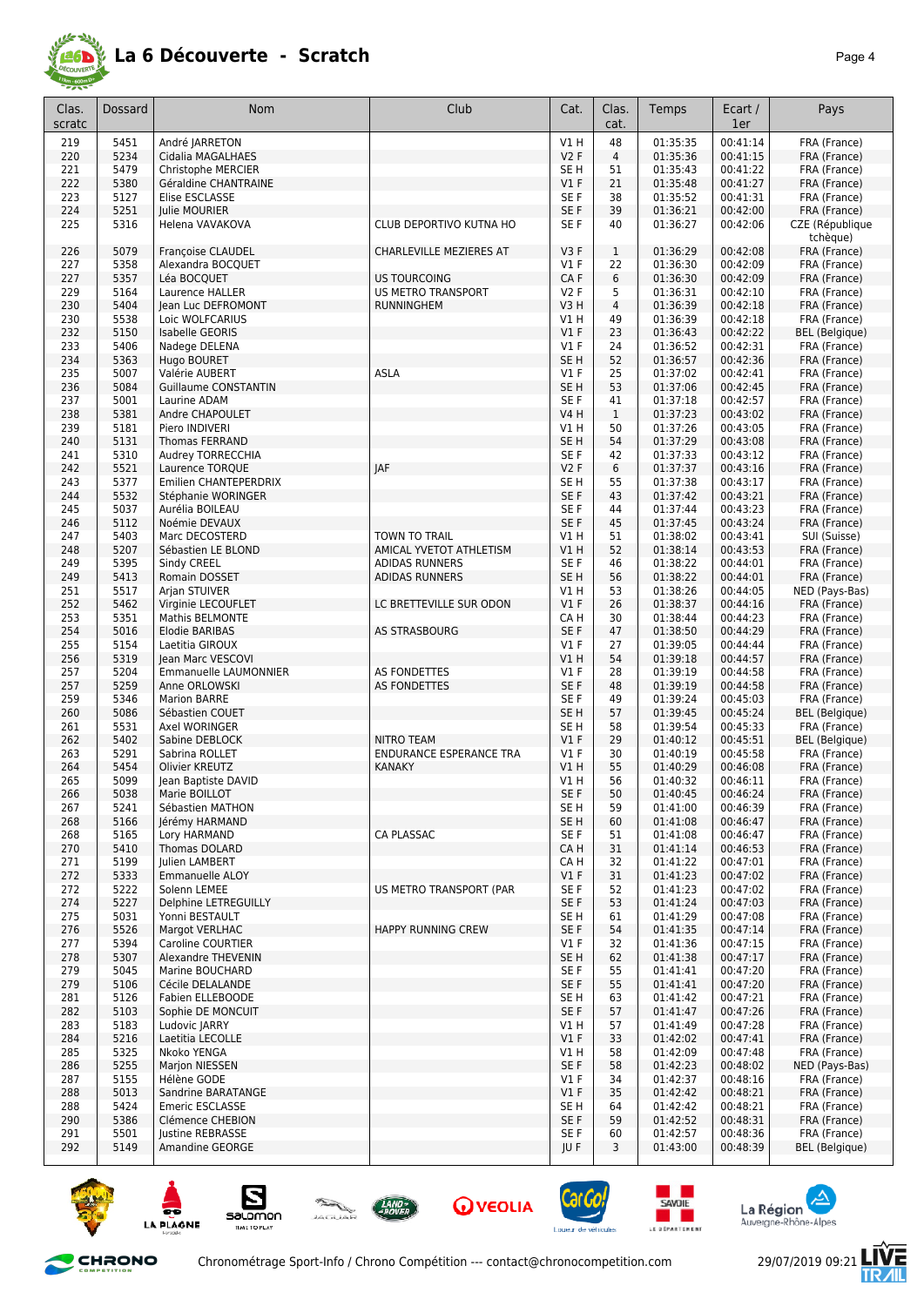

| Clas.<br>scratc | Dossard      | <b>Nom</b>                                  | Club                           | Cat.            | Clas.<br>cat.  | Temps                | Ecart /<br>1er       | Pays                           |
|-----------------|--------------|---------------------------------------------|--------------------------------|-----------------|----------------|----------------------|----------------------|--------------------------------|
| 219             | 5451         | André JARRETON                              |                                | V1H             | 48             | 01:35:35             | 00:41:14             | FRA (France)                   |
| 220             | 5234         | Cidalia MAGALHAES                           |                                | V2F             | $\overline{4}$ | 01:35:36             | 00:41:15             | FRA (France)                   |
| 221             | 5479         | Christophe MERCIER                          |                                | SE <sub>H</sub> | 51             | 01:35:43             | 00:41:22             | FRA (France)                   |
| 222             | 5380         | Géraldine CHANTRAINE                        |                                | V1F             | 21             | 01:35:48             | 00:41:27             | FRA (France)                   |
| 223             | 5127         | Elise ESCLASSE                              |                                | SE <sub>F</sub> | 38             | 01:35:52             | 00:41:31             | FRA (France)                   |
| 224             | 5251         | Julie MOURIER                               |                                | SE F            | 39             | 01:36:21             | 00:42:00             | FRA (France)                   |
| 225             | 5316         | Helena VAVAKOVA                             | CLUB DEPORTIVO KUTNA HO        | SE F            | 40             | 01:36:27             | 00:42:06             | CZE (République                |
|                 |              |                                             |                                |                 |                |                      |                      | tchèque)                       |
| 226             | 5079         | Françoise CLAUDEL                           | CHARLEVILLE MEZIERES AT        | V3F             | $\mathbf{1}$   | 01:36:29             | 00:42:08             | FRA (France)                   |
| 227             | 5358         | Alexandra BOCQUET                           |                                | $VI$ F          | 22             | 01:36:30             | 00:42:09             | FRA (France)                   |
| 227             | 5357         | Léa BOCQUET                                 | <b>US TOURCOING</b>            | CA F            | 6              | 01:36:30             | 00:42:09             | FRA (France)                   |
| 229             | 5164         | Laurence HALLER                             | <b>US METRO TRANSPORT</b>      | <b>V2F</b>      | 5              | 01:36:31             | 00:42:10             | FRA (France)                   |
| 230             | 5404         | Jean Luc DEFROMONT                          | <b>RUNNINGHEM</b>              | V3H             | $\overline{4}$ | 01:36:39             | 00:42:18             | FRA (France)                   |
| 230             | 5538         | Loic WOLFCARIUS                             |                                | V1 H            | 49             | 01:36:39             | 00:42:18             | FRA (France)                   |
| 232             | 5150         | Isabelle GEORIS                             |                                | V1F             | 23             | 01:36:43             | 00:42:22             | <b>BEL</b> (Belgique)          |
| 233             | 5406         | Nadege DELENA                               |                                | $VI$ F          | 24             | 01:36:52             | 00:42:31             | FRA (France)                   |
| 234             | 5363         | Hugo BOURET                                 |                                | SE <sub>H</sub> | 52             | 01:36:57             | 00:42:36             | FRA (France)                   |
| 235             | 5007         | Valérie AUBERT                              | ASLA                           | $VI$ F          | 25             | 01:37:02             | 00:42:41             | FRA (France)                   |
| 236             | 5084<br>5001 | <b>Guillaume CONSTANTIN</b><br>Laurine ADAM |                                | SE H<br>SE F    | 53<br>41       | 01:37:06             | 00:42:45             | FRA (France)                   |
| 237<br>238      | 5381         | Andre CHAPOULET                             |                                | V4 H            | $\mathbf{1}$   | 01:37:18<br>01:37:23 | 00:42:57<br>00:43:02 | FRA (France)<br>FRA (France)   |
| 239             | 5181         | Piero INDIVERI                              |                                | V1 H            | 50             | 01:37:26             | 00:43:05             | FRA (France)                   |
| 240             | 5131         | <b>Thomas FERRAND</b>                       |                                | SE <sub>H</sub> | 54             | 01:37:29             | 00:43:08             | FRA (France)                   |
| 241             | 5310         | Audrey TORRECCHIA                           |                                | SE F            | 42             | 01:37:33             | 00:43:12             | FRA (France)                   |
| 242             | 5521         | Laurence TOROUE                             | JAF                            | <b>V2F</b>      | 6              | 01:37:37             | 00:43:16             | FRA (France)                   |
| 243             | 5377         | Emilien CHANTEPERDRIX                       |                                | SE <sub>H</sub> | 55             | 01:37:38             | 00:43:17             | FRA (France)                   |
| 244             | 5532         | Stéphanie WORINGER                          |                                | SE F            | 43             | 01:37:42             | 00:43:21             | FRA (France)                   |
| 245             | 5037         | Aurélia BOILEAU                             |                                | SE <sub>F</sub> | 44             | 01:37:44             | 00:43:23             | FRA (France)                   |
| 246             | 5112         | Noémie DEVAUX                               |                                | SE F            | 45             | 01:37:45             | 00:43:24             | FRA (France)                   |
| 247             | 5403         | Marc DECOSTERD                              | <b>TOWN TO TRAIL</b>           | VIH             | 51             | 01:38:02             | 00:43:41             | SUI (Suisse)                   |
| 248             | 5207         | Sébastien LE BLOND                          | AMICAL YVETOT ATHLETISM        | V1 H            | 52             | 01:38:14             | 00:43:53             | FRA (France)                   |
| 249             | 5395         | Sindy CREEL                                 | <b>ADIDAS RUNNERS</b>          | SE F            | 46             | 01:38:22             | 00:44:01             | FRA (France)                   |
| 249             | 5413         | Romain DOSSET                               | <b>ADIDAS RUNNERS</b>          | SE <sub>H</sub> | 56             | 01:38:22             | 00:44:01             | FRA (France)                   |
| 251             | 5517         | Arjan STUIVER                               |                                | V1 H            | 53             | 01:38:26             | 00:44:05             | NED (Pays-Bas)                 |
| 252             | 5462         | Virginie LECOUFLET                          | LC BRETTEVILLE SUR ODON        | V1F             | 26             | 01:38:37             | 00:44:16             | FRA (France)                   |
| 253             | 5351         | <b>Mathis BELMONTE</b>                      |                                | CA H            | 30             | 01:38:44             | 00:44:23             | FRA (France)                   |
| 254<br>255      | 5016<br>5154 | Elodie BARIBAS<br>Laetitia GIROUX           | AS STRASBOURG                  | SE F<br>$VI$ F  | 47<br>27       | 01:38:50<br>01:39:05 | 00:44:29<br>00:44:44 | FRA (France)<br>FRA (France)   |
| 256             | 5319         | Jean Marc VESCOVI                           |                                | VIH             | 54             | 01:39:18             | 00:44:57             | FRA (France)                   |
| 257             | 5204         | Emmanuelle LAUMONNIER                       | <b>AS FONDETTES</b>            | $VI$ F          | 28             | 01:39:19             | 00:44:58             | FRA (France)                   |
| 257             | 5259         | Anne ORLOWSKI                               | <b>AS FONDETTES</b>            | SE <sub>F</sub> | 48             | 01:39:19             | 00:44:58             | FRA (France)                   |
| 259             | 5346         | <b>Marion BARRE</b>                         |                                | SE <sub>F</sub> | 49             | 01:39:24             | 00:45:03             | FRA (France)                   |
| 260             | 5086         | Sébastien COUET                             |                                | SE H            | 57             | 01:39:45             | 00:45:24             | <b>BEL</b> (Belgique)          |
| 261             | 5531         | Axel WORINGER                               |                                | SE H            | 58             | 01:39:54             | 00:45:33             | FRA (France)                   |
| 262             | 5402         | Sabine DEBLOCK                              | <b>NITRO TEAM</b>              | $VI$ F          | 29             | 01:40:12             | 00:45:51             | <b>BEL</b> (Belgique)          |
| 263             | 5291         | Sabrina ROLLET                              | <b>ENDURANCE ESPERANCE TRA</b> | $VI$ F          | 30             | 01:40:19             | 00:45:58             | FRA (France)                   |
| 264             | 5454         | Olivier KREUTZ                              | <b>KANAKY</b>                  | V1 H            | 55             | 01:40:29             | 00:46:08             | FRA (France)                   |
| 265             | 5099         | Jean Baptiste DAVID                         |                                | V1 H            | 56             | 01:40:32             | 00:46:11             | FRA (France)                   |
| 266             | 5038         | Marie BOILLOT                               |                                | SE F            | 50             | 01:40:45             | 00:46:24             | FRA (France)                   |
| 267             | 5241         | Sébastien MATHON                            |                                | SE <sub>H</sub> | 59             | 01:41:00             | 00:46:39             | FRA (France)                   |
| 268<br>268      | 5166<br>5165 | Jérémy HARMAND<br>Lory HARMAND              | CA PLASSAC                     | SE H<br>SE F    | 60             | 01:41:08<br>01:41:08 | 00:46:47<br>00:46:47 | FRA (France)<br>FRA (France)   |
| 270             | 5410         | Thomas DOLARD                               |                                | CA H            | 51<br>31       | 01:41:14             | 00:46:53             | FRA (France)                   |
| 271             | 5199         | Julien LAMBERT                              |                                | CA H            | 32             | 01:41:22             | 00:47:01             | FRA (France)                   |
| 272             | 5333         | <b>Emmanuelle ALOY</b>                      |                                | $VI$ F          | 31             | 01:41:23             | 00:47:02             | FRA (France)                   |
| 272             | 5222         | Solenn LEMEE                                | US METRO TRANSPORT (PAR        | SE F            | 52             | 01:41:23             | 00:47:02             | FRA (France)                   |
| 274             | 5227         | Delphine LETREGUILLY                        |                                | SE F            | 53             | 01:41:24             | 00:47:03             | FRA (France)                   |
| 275             | 5031         | Yonni BESTAULT                              |                                | SE H            | 61             | 01:41:29             | 00:47:08             | FRA (France)                   |
| 276             | 5526         | Margot VERLHAC                              | <b>HAPPY RUNNING CREW</b>      | SE F            | 54             | 01:41:35             | 00:47:14             | FRA (France)                   |
| 277             | 5394         | Caroline COURTIER                           |                                | $VI$ F          | 32             | 01:41:36             | 00:47:15             | FRA (France)                   |
| 278             | 5307         | Alexandre THEVENIN                          |                                | SE H            | 62             | 01:41:38             | 00:47:17             | FRA (France)                   |
| 279             | 5045         | Marine BOUCHARD                             |                                | SE F            | 55             | 01:41:41             | 00:47:20             | FRA (France)                   |
| 279             | 5106         | Cécile DELALANDE                            |                                | SE F            | 55             | 01:41:41             | 00:47:20             | FRA (France)                   |
| 281             | 5126         | Fabien ELLEBOODE                            |                                | SE H            | 63             | 01:41:42             | 00:47:21             | FRA (France)                   |
| 282             | 5103         | Sophie DE MONCUIT                           |                                | SE F            | 57             | 01:41:47             | 00:47:26             | FRA (France)                   |
| 283             | 5183         | Ludovic JARRY                               |                                | V1 H            | 57             | 01:41:49             | 00:47:28             | FRA (France)                   |
| 284             | 5216         | Laetitia LECOLLE                            |                                | $VI$ F          | 33             | 01:42:02             | 00:47:41             | FRA (France)                   |
| 285<br>286      | 5325<br>5255 | Nkoko YENGA<br>Marjon NIESSEN               |                                | V1 H<br>SE F    | 58<br>58       | 01:42:09<br>01:42:23 | 00:47:48<br>00:48:02 | FRA (France)<br>NED (Pays-Bas) |
| 287             | 5155         | Hélène GODE                                 |                                | V1 F            | 34             | 01:42:37             | 00:48:16             | FRA (France)                   |
| 288             | 5013         | Sandrine BARATANGE                          |                                | $VI$ F          | 35             | 01:42:42             | 00:48:21             | FRA (France)                   |
| 288             | 5424         | <b>Emeric ESCLASSE</b>                      |                                | SE H            | 64             | 01:42:42             | 00:48:21             | FRA (France)                   |
| 290             | 5386         | Clémence CHEBION                            |                                | SE F            | 59             | 01:42:52             | 00:48:31             | FRA (France)                   |
| 291             | 5501         | Justine REBRASSE                            |                                | SE F            | 60             | 01:42:57             | 00:48:36             | FRA (France)                   |
| 292             | 5149         | Amandine GEORGE                             |                                | JU F            | 3              | 01:43:00             | 00:48:39             | <b>BEL</b> (Belgique)          |
|                 |              |                                             |                                |                 |                |                      |                      |                                |



CHRONO





**O** VEOLIA Loueur de







Chronométrage Sport-Info / Chrono Compétition --- contact@chronocompetition.com 29/07/2019 09:21

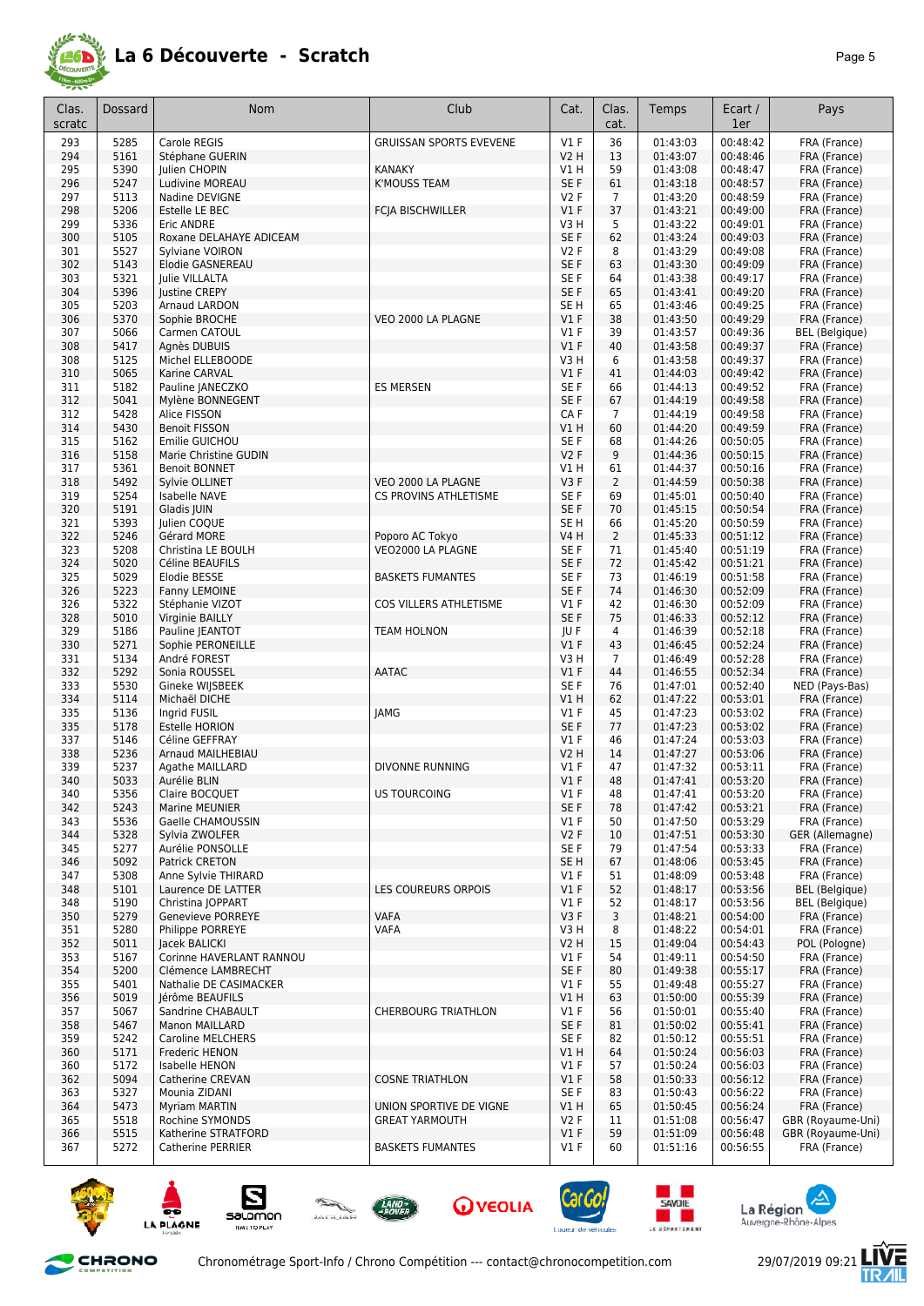

| Clas.<br>scratc | Dossard      | <b>Nom</b>                                   | Club                                               | Cat.                       | Clas.<br>cat.  | Temps                | Ecart /<br>1er       | Pays                              |
|-----------------|--------------|----------------------------------------------|----------------------------------------------------|----------------------------|----------------|----------------------|----------------------|-----------------------------------|
| 293             | 5285         | Carole REGIS                                 | <b>GRUISSAN SPORTS EVEVENE</b>                     | $VI$ F                     | 36             | 01:43:03             | 00:48:42             | FRA (France)                      |
| 294             | 5161         | Stéphane GUERIN                              |                                                    | V2 H                       | 13             | 01:43:07             | 00:48:46             | FRA (France)                      |
| 295             | 5390         | Julien CHOPIN                                | <b>KANAKY</b>                                      | V1 H                       | 59             | 01:43:08             | 00:48:47             | FRA (France)                      |
| 296             | 5247         | Ludivine MOREAU                              | <b>K'MOUSS TEAM</b>                                | SE F                       | 61             | 01:43:18             | 00:48:57             | FRA (France)                      |
| 297             | 5113         | Nadine DEVIGNE                               |                                                    | <b>V2F</b>                 | $\overline{7}$ | 01:43:20             | 00:48:59             | FRA (France)                      |
| 298             | 5206         | Estelle LE BEC                               | <b>FCIA BISCHWILLER</b>                            | $VI$ F<br>V <sub>3</sub> H | 37<br>5        | 01:43:21             | 00:49:00             | FRA (France)                      |
| 299<br>300      | 5336<br>5105 | <b>Eric ANDRE</b><br>Roxane DELAHAYE ADICEAM |                                                    | SE F                       | 62             | 01:43:22<br>01:43:24 | 00:49:01<br>00:49:03 | FRA (France)<br>FRA (France)      |
| 301             | 5527         | Sylviane VOIRON                              |                                                    | <b>V2F</b>                 | 8              | 01:43:29             | 00:49:08             | FRA (France)                      |
| 302             | 5143         | Elodie GASNEREAU                             |                                                    | SE F                       | 63             | 01:43:30             | 00:49:09             | FRA (France)                      |
| 303             | 5321         | Julie VILLALTA                               |                                                    | SE F                       | 64             | 01:43:38             | 00:49:17             | FRA (France)                      |
| 304             | 5396         | Justine CREPY                                |                                                    | SE F                       | 65             | 01:43:41             | 00:49:20             | FRA (France)                      |
| 305             | 5203         | Arnaud LARDON                                |                                                    | SE <sub>H</sub>            | 65             | 01:43:46             | 00:49:25             | FRA (France)                      |
| 306             | 5370         | Sophie BROCHE                                | VEO 2000 LA PLAGNE                                 | $VI$ F                     | 38             | 01:43:50             | 00:49:29             | FRA (France)                      |
| 307             | 5066         | Carmen CATOUL                                |                                                    | $VI$ F                     | 39             | 01:43:57             | 00:49:36             | <b>BEL</b> (Belgique)             |
| 308<br>308      | 5417<br>5125 | Agnès DUBUIS<br>Michel ELLEBOODE             |                                                    | $VI$ F<br>V3 H             | 40<br>6        | 01:43:58<br>01:43:58 | 00:49:37<br>00:49:37 | FRA (France)<br>FRA (France)      |
| 310             | 5065         | Karine CARVAL                                |                                                    | $VI$ F                     | 41             | 01:44:03             | 00:49:42             | FRA (France)                      |
| 311             | 5182         | Pauline JANECZKO                             | <b>ES MERSEN</b>                                   | SE <sub>F</sub>            | 66             | 01:44:13             | 00:49:52             | FRA (France)                      |
| 312             | 5041         | Mylène BONNEGENT                             |                                                    | SE F                       | 67             | 01:44:19             | 00:49:58             | FRA (France)                      |
| 312             | 5428         | Alice FISSON                                 |                                                    | CA F                       | 7              | 01:44:19             | 00:49:58             | FRA (France)                      |
| 314             | 5430         | <b>Benoit FISSON</b>                         |                                                    | VIH                        | 60             | 01:44:20             | 00:49:59             | FRA (France)                      |
| 315             | 5162         | Emilie GUICHOU                               |                                                    | SE <sub>F</sub>            | 68             | 01:44:26             | 00:50:05             | FRA (France)                      |
| 316             | 5158         | Marie Christine GUDIN                        |                                                    | <b>V2F</b>                 | 9              | 01:44:36             | 00:50:15             | FRA (France)                      |
| 317             | 5361         | <b>Benoit BONNET</b>                         |                                                    | V1H                        | 61             | 01:44:37             | 00:50:16             | FRA (France)                      |
| 318<br>319      | 5492<br>5254 | Sylvie OLLINET<br><b>Isabelle NAVE</b>       | VEO 2000 LA PLAGNE<br><b>CS PROVINS ATHLETISME</b> | V3F<br>SE F                | 2<br>69        | 01:44:59             | 00:50:38             | FRA (France)                      |
| 320             | 5191         | Gladis JUIN                                  |                                                    | SE F                       | 70             | 01:45:01<br>01:45:15 | 00:50:40<br>00:50:54 | FRA (France)<br>FRA (France)      |
| 321             | 5393         | Julien COQUE                                 |                                                    | SE H                       | 66             | 01:45:20             | 00:50:59             | FRA (France)                      |
| 322             | 5246         | Gérard MORE                                  | Poporo AC Tokyo                                    | V4 H                       | 2              | 01:45:33             | 00:51:12             | FRA (France)                      |
| 323             | 5208         | Christina LE BOULH                           | VEO2000 LA PLAGNE                                  | SE <sub>F</sub>            | 71             | 01:45:40             | 00:51:19             | FRA (France)                      |
| 324             | 5020         | Céline BEAUFILS                              |                                                    | SE F                       | 72             | 01:45:42             | 00:51:21             | FRA (France)                      |
| 325             | 5029         | Elodie BESSE                                 | <b>BASKETS FUMANTES</b>                            | SE <sub>F</sub>            | 73             | 01:46:19             | 00:51:58             | FRA (France)                      |
| 326             | 5223         | Fanny LEMOINE                                |                                                    | SE F                       | 74             | 01:46:30             | 00:52:09             | FRA (France)                      |
| 326             | 5322         | Stéphanie VIZOT                              | COS VILLERS ATHLETISME                             | $VI$ F                     | 42             | 01:46:30             | 00:52:09             | FRA (France)                      |
| 328             | 5010<br>5186 | Virginie BAILLY                              |                                                    | SE F                       | 75             | 01:46:33             | 00:52:12<br>00:52:18 | FRA (France)                      |
| 329<br>330      | 5271         | Pauline JEANTOT<br>Sophie PERONEILLE         | <b>TEAM HOLNON</b>                                 | JU F<br>$VI$ F             | 4<br>43        | 01:46:39<br>01:46:45 | 00:52:24             | FRA (France)<br>FRA (France)      |
| 331             | 5134         | André FOREST                                 |                                                    | V3 H                       | $\overline{7}$ | 01:46:49             | 00:52:28             | FRA (France)                      |
| 332             | 5292         | Sonia ROUSSEL                                | <b>AATAC</b>                                       | $VI$ F                     | 44             | 01:46:55             | 00:52:34             | FRA (France)                      |
| 333             | 5530         | Gineke WIJSBEEK                              |                                                    | SE F                       | 76             | 01:47:01             | 00:52:40             | NED (Pays-Bas)                    |
| 334             | 5114         | Michaël DICHE                                |                                                    | V1 H                       | 62             | 01:47:22             | 00:53:01             | FRA (France)                      |
| 335             | 5136         | Ingrid FUSIL                                 | <b>JAMG</b>                                        | $VI$ F                     | 45             | 01:47:23             | 00:53:02             | FRA (France)                      |
| 335             | 5178         | <b>Estelle HORION</b>                        |                                                    | SE F                       | 77             | 01:47:23             | 00:53:02             | FRA (France)                      |
| 337             | 5146         | Céline GEFFRAY<br><b>Arnaud MAILHEBIAU</b>   |                                                    | $VI$ F                     | 46             | 01:47:24             | 00:53:03<br>00:53:06 | FRA (France)<br>FRA (France)      |
| 338<br>339      | 5236<br>5237 | Agathe MAILLARD                              | <b>DIVONNE RUNNING</b>                             | V2 H<br>$VI$ F             | 14<br>47       | 01:47:27<br>01:47:32 | 00:53:11             | FRA (France)                      |
| 340             | 5033         | Aurélie BLIN                                 |                                                    | $VI$ F                     | 48             | 01:47:41             | 00:53:20             | FRA (France)                      |
| 340             | 5356         | Claire BOCQUET                               | <b>US TOURCOING</b>                                | V1F                        | 48             | 01:47:41             | 00:53:20             | FRA (France)                      |
| 342             | 5243         | Marine MEUNIER                               |                                                    | SE F                       | 78             | 01:47:42             | 00:53:21             | FRA (France)                      |
| 343             | 5536         | Gaelle CHAMOUSSIN                            |                                                    | $VI$ F                     | 50             | 01:47:50             | 00:53:29             | FRA (France)                      |
| 344             | 5328         | Sylvia ZWOLFER                               |                                                    | V2F                        | 10             | 01:47:51             | 00:53:30             | GER (Allemagne)                   |
| 345             | 5277         | Aurélie PONSOLLE                             |                                                    | SE F                       | 79             | 01:47:54             | 00:53:33             | FRA (France)                      |
| 346<br>347      | 5092<br>5308 | Patrick CRETON<br>Anne Sylvie THIRARD        |                                                    | SE H<br>$VI$ F             | 67<br>51       | 01:48:06<br>01:48:09 | 00:53:45<br>00:53:48 | FRA (France)<br>FRA (France)      |
| 348             | 5101         | Laurence DE LATTER                           | <b>LES COUREURS ORPOIS</b>                         | V1F                        | 52             | 01:48:17             | 00:53:56             | <b>BEL</b> (Belgique)             |
| 348             | 5190         | Christina   OPPART                           |                                                    | $VI$ F                     | 52             | 01:48:17             | 00:53:56             | <b>BEL</b> (Belgique)             |
| 350             | 5279         | Genevieve PORREYE                            | <b>VAFA</b>                                        | V3F                        | 3              | 01:48:21             | 00:54:00             | FRA (France)                      |
| 351             | 5280         | Philippe PORREYE                             | VAFA                                               | V3H                        | 8              | 01:48:22             | 00:54:01             | FRA (France)                      |
| 352             | 5011         | Jacek BALICKI                                |                                                    | <b>V2 H</b>                | 15             | 01:49:04             | 00:54:43             | POL (Pologne)                     |
| 353             | 5167         | Corinne HAVERLANT RANNOU                     |                                                    | $VI$ F                     | 54             | 01:49:11             | 00:54:50             | FRA (France)                      |
| 354             | 5200         | Clémence LAMBRECHT                           |                                                    | SE F                       | 80             | 01:49:38             | 00:55:17             | FRA (France)                      |
| 355<br>356      | 5401         | Nathalie DE CASIMACKER                       |                                                    | $VI$ F<br>V1 H             | 55<br>63       | 01:49:48             | 00:55:27             | FRA (France)                      |
| 357             | 5019<br>5067 | Jérôme BEAUFILS<br>Sandrine CHABAULT         | <b>CHERBOURG TRIATHLON</b>                         | $VI$ F                     | 56             | 01:50:00<br>01:50:01 | 00:55:39<br>00:55:40 | FRA (France)<br>FRA (France)      |
| 358             | 5467         | Manon MAILLARD                               |                                                    | SE F                       | 81             | 01:50:02             | 00:55:41             | FRA (France)                      |
| 359             | 5242         | Caroline MELCHERS                            |                                                    | SE F                       | 82             | 01:50:12             | 00:55:51             | FRA (France)                      |
| 360             | 5171         | Frederic HENON                               |                                                    | V1 H                       | 64             | 01:50:24             | 00:56:03             | FRA (France)                      |
| 360             | 5172         | Isabelle HENON                               |                                                    | $VI$ F                     | 57             | 01:50:24             | 00:56:03             | FRA (France)                      |
| 362             | 5094         | Catherine CREVAN                             | <b>COSNE TRIATHLON</b>                             | $VI$ F                     | 58             | 01:50:33             | 00:56:12             | FRA (France)                      |
| 363             | 5327         | Mounia ZIDANI                                |                                                    | SE F                       | 83             | 01:50:43             | 00:56:22             | FRA (France)                      |
| 364<br>365      | 5473<br>5518 | <b>Myriam MARTIN</b><br>Rochine SYMONDS      | UNION SPORTIVE DE VIGNE<br><b>GREAT YARMOUTH</b>   | V1 H<br><b>V2F</b>         | 65<br>11       | 01:50:45<br>01:51:08 | 00:56:24<br>00:56:47 | FRA (France)<br>GBR (Royaume-Uni) |
| 366             | 5515         | Katherine STRATFORD                          |                                                    | V1F                        | 59             | 01:51:09             | 00:56:48             | GBR (Royaume-Uni)                 |
| 367             | 5272         | <b>Catherine PERRIER</b>                     | <b>BASKETS FUMANTES</b>                            | $VI$ F                     | 60             | 01:51:16             | 00:56:55             | FRA (France)                      |
|                 |              |                                              |                                                    |                            |                |                      |                      |                                   |











**SAVOIE** 

and the second







E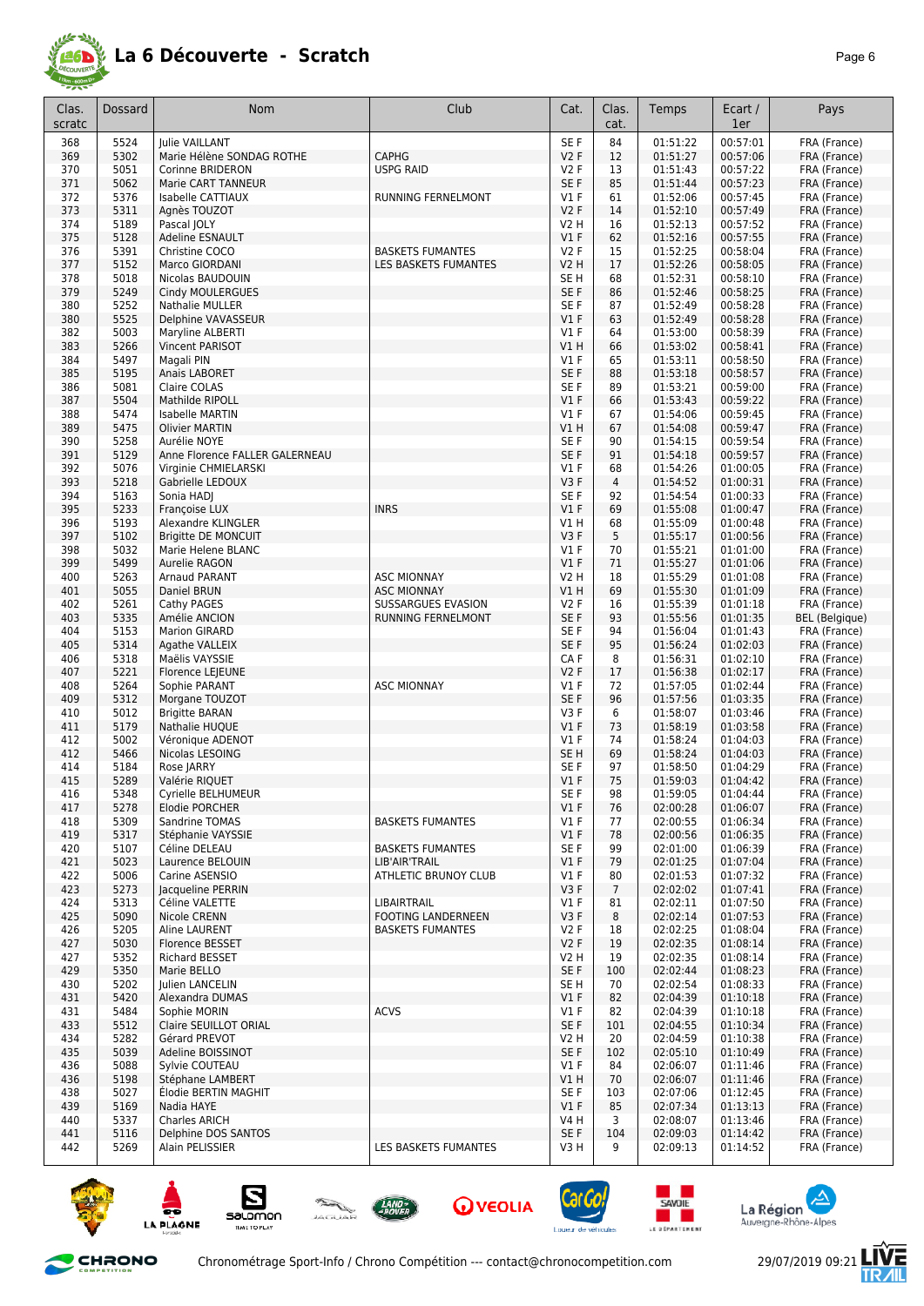

| Clas.      | Dossard      | <b>Nom</b>                                     | Club                                     | Cat.                 | Clas.          | Temps                | Ecart /              | Pays                         |
|------------|--------------|------------------------------------------------|------------------------------------------|----------------------|----------------|----------------------|----------------------|------------------------------|
| scratc     |              |                                                |                                          |                      | cat.           |                      | 1er                  |                              |
| 368        | 5524         | Julie VAILLANT                                 |                                          | SE <sub>F</sub>      | 84             | 01:51:22             | 00:57:01             | FRA (France)                 |
| 369        | 5302         | Marie Hélène SONDAG ROTHE                      | <b>CAPHG</b>                             | V2F                  | 12             | 01:51:27             | 00:57:06             | FRA (France)                 |
| 370        | 5051         | Corinne BRIDERON                               | <b>USPG RAID</b>                         | <b>V2F</b>           | 13             | 01:51:43             | 00:57:22             | FRA (France)                 |
| 371        | 5062         | Marie CART TANNEUR                             |                                          | SE <sub>F</sub>      | 85             | 01:51:44             | 00:57:23             | FRA (France)                 |
| 372<br>373 | 5376<br>5311 | <b>Isabelle CATTIAUX</b>                       | <b>RUNNING FERNELMONT</b>                | $VI$ F<br><b>V2F</b> | 61<br>14       | 01:52:06<br>01:52:10 | 00:57:45<br>00:57:49 | FRA (France)<br>FRA (France) |
| 374        | 5189         | Agnès TOUZOT<br>Pascal JOLY                    |                                          | V2 H                 | 16             | 01:52:13             | 00:57:52             | FRA (France)                 |
| 375        | 5128         | <b>Adeline ESNAULT</b>                         |                                          | V1F                  | 62             | 01:52:16             | 00:57:55             | FRA (France)                 |
| 376        | 5391         | Christine COCO                                 | <b>BASKETS FUMANTES</b>                  | <b>V2F</b>           | 15             | 01:52:25             | 00:58:04             | FRA (France)                 |
| 377        | 5152         | Marco GIORDANI                                 | LES BASKETS FUMANTES                     | <b>V2 H</b>          | 17             | 01:52:26             | 00:58:05             | FRA (France)                 |
| 378        | 5018         | Nicolas BAUDOUIN                               |                                          | SE H                 | 68             | 01:52:31             | 00:58:10             | FRA (France)                 |
| 379        | 5249         | Cindy MOULERGUES                               |                                          | SE <sub>F</sub>      | 86             | 01:52:46             | 00:58:25             | FRA (France)                 |
| 380        | 5252         | <b>Nathalie MULLER</b>                         |                                          | SE <sub>F</sub>      | 87             | 01:52:49             | 00:58:28             | FRA (France)                 |
| 380<br>382 | 5525<br>5003 | Delphine VAVASSEUR<br>Maryline ALBERTI         |                                          | V1F<br>$VI$ F        | 63<br>64       | 01:52:49<br>01:53:00 | 00:58:28<br>00:58:39 | FRA (France)<br>FRA (France) |
| 383        | 5266         | <b>Vincent PARISOT</b>                         |                                          | VIH                  | 66             | 01:53:02             | 00:58:41             | FRA (France)                 |
| 384        | 5497         | Magali PIN                                     |                                          | $VI$ F               | 65             | 01:53:11             | 00:58:50             | FRA (France)                 |
| 385        | 5195         | Anais LABORET                                  |                                          | SE F                 | 88             | 01:53:18             | 00:58:57             | FRA (France)                 |
| 386        | 5081         | Claire COLAS                                   |                                          | SE F                 | 89             | 01:53:21             | 00:59:00             | FRA (France)                 |
| 387        | 5504         | Mathilde RIPOLL                                |                                          | V1F                  | 66             | 01:53:43             | 00:59:22             | FRA (France)                 |
| 388        | 5474         | Isabelle MARTIN                                |                                          | $VI$ F               | 67             | 01:54:06             | 00:59:45             | FRA (France)                 |
| 389        | 5475         | <b>Olivier MARTIN</b>                          |                                          | V1 H                 | 67             | 01:54:08             | 00:59:47             | FRA (France)                 |
| 390<br>391 | 5258<br>5129 | Aurélie NOYE<br>Anne Florence FALLER GALERNEAU |                                          | SE F<br>SE F         | 90<br>91       | 01:54:15<br>01:54:18 | 00:59:54<br>00:59:57 | FRA (France)<br>FRA (France) |
| 392        | 5076         | Virginie CHMIELARSKI                           |                                          | $VI$ F               | 68             | 01:54:26             | 01:00:05             | FRA (France)                 |
| 393        | 5218         | Gabrielle LEDOUX                               |                                          | V3F                  | $\overline{4}$ | 01:54:52             | 01:00:31             | FRA (France)                 |
| 394        | 5163         | Sonia HADI                                     |                                          | SE F                 | 92             | 01:54:54             | 01:00:33             | FRA (France)                 |
| 395        | 5233         | <b>Francoise LUX</b>                           | <b>INRS</b>                              | V1F                  | 69             | 01:55:08             | 01:00:47             | FRA (France)                 |
| 396        | 5193         | Alexandre KLINGLER                             |                                          | V1 H                 | 68             | 01:55:09             | 01:00:48             | FRA (France)                 |
| 397        | 5102         | <b>Brigitte DE MONCUIT</b>                     |                                          | V3F                  | 5              | 01:55:17             | 01:00:56             | FRA (France)                 |
| 398        | 5032         | Marie Helene BLANC                             |                                          | $VI$ F               | 70             | 01:55:21             | 01:01:00             | FRA (France)                 |
| 399<br>400 | 5499<br>5263 | Aurelie RAGON<br><b>Arnaud PARANT</b>          | <b>ASC MIONNAY</b>                       | V1F<br>V2 H          | 71<br>18       | 01:55:27<br>01:55:29 | 01:01:06<br>01:01:08 | FRA (France)<br>FRA (France) |
| 401        | 5055         | Daniel BRUN                                    | <b>ASC MIONNAY</b>                       | V1 H                 | 69             | 01:55:30             | 01:01:09             | FRA (France)                 |
| 402        | 5261         | Cathy PAGES                                    | SUSSARGUES EVASION                       | V2F                  | 16             | 01:55:39             | 01:01:18             | FRA (France)                 |
| 403        | 5335         | Amélie ANCION                                  | RUNNING FERNELMONT                       | SE F                 | 93             | 01:55:56             | 01:01:35             | <b>BEL</b> (Belgique)        |
| 404        | 5153         | <b>Marion GIRARD</b>                           |                                          | SE F                 | 94             | 01:56:04             | 01:01:43             | FRA (France)                 |
| 405        | 5314         | Agathe VALLEIX                                 |                                          | SE <sub>F</sub>      | 95             | 01:56:24             | 01:02:03             | FRA (France)                 |
| 406        | 5318         | Maëlis VAYSSIE                                 |                                          | CA F                 | 8              | 01:56:31             | 01:02:10             | FRA (France)                 |
| 407<br>408 | 5221<br>5264 | Florence LEJEUNE<br>Sophie PARANT              | <b>ASC MIONNAY</b>                       | V2F<br><b>V1 F</b>   | 17<br>72       | 01:56:38<br>01:57:05 | 01:02:17<br>01:02:44 | FRA (France)<br>FRA (France) |
| 409        | 5312         | Morgane TOUZOT                                 |                                          | SE F                 | 96             | 01:57:56             | 01:03:35             | FRA (France)                 |
| 410        | 5012         | <b>Brigitte BARAN</b>                          |                                          | V3F                  | 6              | 01:58:07             | 01:03:46             | FRA (France)                 |
| 411        | 5179         | Nathalie HUQUE                                 |                                          | V1F                  | 73             | 01:58:19             | 01:03:58             | FRA (France)                 |
| 412        | 5002         | Véronique ADENOT                               |                                          | $VI$ F               | 74             | 01:58:24             | 01:04:03             | FRA (France)                 |
| 412        | 5466         | Nicolas LESOING                                |                                          | SE <sub>H</sub>      | 69             | 01:58:24             | 01:04:03             | FRA (France)                 |
| 414        | 5184         | Rose JARRY                                     |                                          | SE F                 | 97             | 01:58:50             | 01:04:29             | FRA (France)                 |
| 415<br>416 | 5289<br>5348 | Valérie RIQUET                                 |                                          | $VI$ F<br>SE F       | 75<br>98       | 01:59:03<br>01:59:05 | 01:04:42<br>01:04:44 | FRA (France)<br>FRA (France) |
| 417        | 5278         | Cyrielle BELHUMEUR<br>Elodie PORCHER           |                                          | $VI$ F               | 76             | 02:00:28             | 01:06:07             | FRA (France)                 |
| 418        | 5309         | Sandrine TOMAS                                 | <b>BASKETS FUMANTES</b>                  | $VI$ F               | 77             | 02:00:55             | 01:06:34             | FRA (France)                 |
| 419        | 5317         | Stéphanie VAYSSIE                              |                                          | V1F                  | 78             | 02:00:56             | 01:06:35             | FRA (France)                 |
| 420        | 5107         | Céline DELEAU                                  | <b>BASKETS FUMANTES</b>                  | SE F                 | 99             | 02:01:00             | 01:06:39             | FRA (France)                 |
| 421        | 5023         | Laurence BELOUIN                               | LIB'AIR'TRAIL                            | $VI$ F               | 79             | 02:01:25             | 01:07:04             | FRA (France)                 |
| 422        | 5006         | Carine ASENSIO                                 | ATHLETIC BRUNOY CLUB                     | $VI$ F               | 80             | 02:01:53             | 01:07:32             | FRA (France)                 |
| 423        | 5273<br>5313 | Jacqueline PERRIN                              |                                          | V3F<br>$VI$ F        | $\overline{7}$ | 02:02:02<br>02:02:11 | 01:07:41<br>01:07:50 | FRA (France)                 |
| 424<br>425 | 5090         | Céline VALETTE<br>Nicole CRENN                 | LIBAIRTRAIL<br><b>FOOTING LANDERNEEN</b> | V3F                  | 81<br>8        | 02:02:14             | 01:07:53             | FRA (France)<br>FRA (France) |
| 426        | 5205         | Aline LAURENT                                  | <b>BASKETS FUMANTES</b>                  | V2F                  | 18             | 02:02:25             | 01:08:04             | FRA (France)                 |
| 427        | 5030         | Florence BESSET                                |                                          | V2F                  | 19             | 02:02:35             | 01:08:14             | FRA (France)                 |
| 427        | 5352         | Richard BESSET                                 |                                          | V2 H                 | 19             | 02:02:35             | 01:08:14             | FRA (France)                 |
| 429        | 5350         | Marie BELLO                                    |                                          | SE F                 | 100            | 02:02:44             | 01:08:23             | FRA (France)                 |
| 430        | 5202         | Julien LANCELIN                                |                                          | SE H                 | 70             | 02:02:54             | 01:08:33             | FRA (France)                 |
| 431        | 5420         | Alexandra DUMAS                                |                                          | $VI$ F               | 82             | 02:04:39             | 01:10:18             | FRA (France)                 |
| 431<br>433 | 5484<br>5512 | Sophie MORIN<br>Claire SEUILLOT ORIAL          | <b>ACVS</b>                              | $VI$ F<br>SE F       | 82<br>101      | 02:04:39<br>02:04:55 | 01:10:18<br>01:10:34 | FRA (France)<br>FRA (France) |
| 434        | 5282         | Gérard PREVOT                                  |                                          | V2 H                 | 20             | 02:04:59             | 01:10:38             | FRA (France)                 |
| 435        | 5039         | Adeline BOISSINOT                              |                                          | SE F                 | 102            | 02:05:10             | 01:10:49             | FRA (France)                 |
| 436        | 5088         | Sylvie COUTEAU                                 |                                          | $VI$ F               | 84             | 02:06:07             | 01:11:46             | FRA (France)                 |
| 436        | 5198         | Stéphane LAMBERT                               |                                          | V1 H                 | 70             | 02:06:07             | 01:11:46             | FRA (France)                 |
| 438        | 5027         | Élodie BERTIN MAGHIT                           |                                          | SE F                 | 103            | 02:07:06             | 01:12:45             | FRA (France)                 |
| 439        | 5169         | Nadia HAYE                                     |                                          | V1F                  | 85             | 02:07:34             | 01:13:13             | FRA (France)                 |
| 440<br>441 | 5337<br>5116 | Charles ARICH<br>Delphine DOS SANTOS           |                                          | V4 H<br>SE F         | 3<br>104       | 02:08:07<br>02:09:03 | 01:13:46<br>01:14:42 | FRA (France)<br>FRA (France) |
| 442        | 5269         | Alain PELISSIER                                | LES BASKETS FUMANTES                     | V3 H                 | 9              | 02:09:13             | 01:14:52             | FRA (France)                 |
|            |              |                                                |                                          |                      |                |                      |                      |                              |